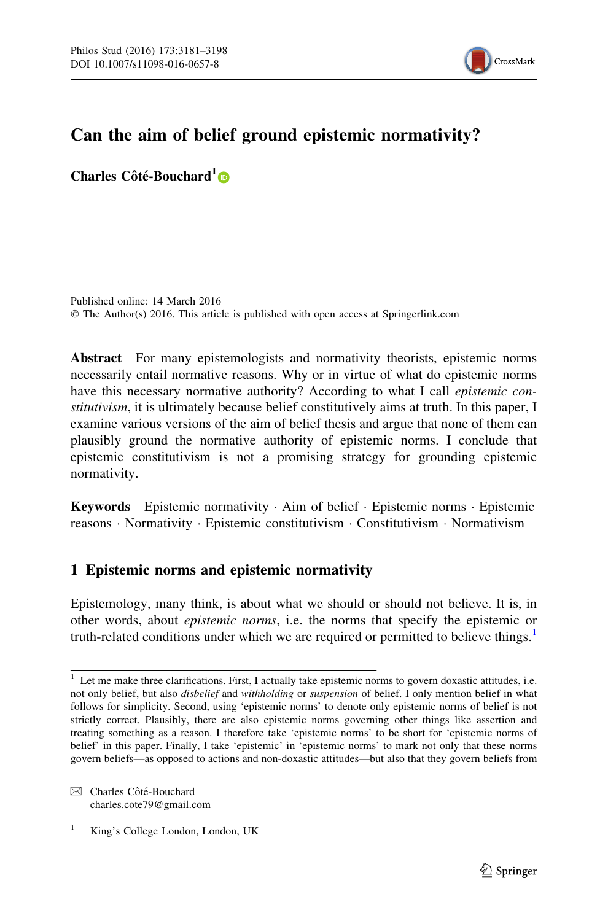

# Can the aim of belief ground epistemic normativity?

Charles Côté-Bouchard<sup>1</sup>

Published online: 14 March 2016 © The Author(s) 2016. This article is published with open access at Springerlink.com

Abstract For many epistemologists and normativity theorists, epistemic norms necessarily entail normative reasons. Why or in virtue of what do epistemic norms have this necessary normative authority? According to what I call *epistemic con*stitutivism, it is ultimately because belief constitutively aims at truth. In this paper, I examine various versions of the aim of belief thesis and argue that none of them can plausibly ground the normative authority of epistemic norms. I conclude that epistemic constitutivism is not a promising strategy for grounding epistemic normativity.

Keywords Epistemic normativity · Aim of belief · Epistemic norms · Epistemic reasons - Normativity - Epistemic constitutivism - Constitutivism - Normativism

# 1 Epistemic norms and epistemic normativity

Epistemology, many think, is about what we should or should not believe. It is, in other words, about epistemic norms, i.e. the norms that specify the epistemic or truth-related conditions under which we are required or permitted to believe things.<sup>1</sup>

 $1$  Let me make three clarifications. First, I actually take epistemic norms to govern doxastic attitudes, i.e. not only belief, but also *disbelief* and *withholding* or *suspension* of belief. I only mention belief in what follows for simplicity. Second, using 'epistemic norms' to denote only epistemic norms of belief is not strictly correct. Plausibly, there are also epistemic norms governing other things like assertion and treating something as a reason. I therefore take 'epistemic norms' to be short for 'epistemic norms of belief' in this paper. Finally, I take 'epistemic' in 'epistemic norms' to mark not only that these norms govern beliefs—as opposed to actions and non-doxastic attitudes—but also that they govern beliefs from

 $\boxtimes$  Charles Côté-Bouchard charles.cote79@gmail.com

 $1$  King's College London, London, UK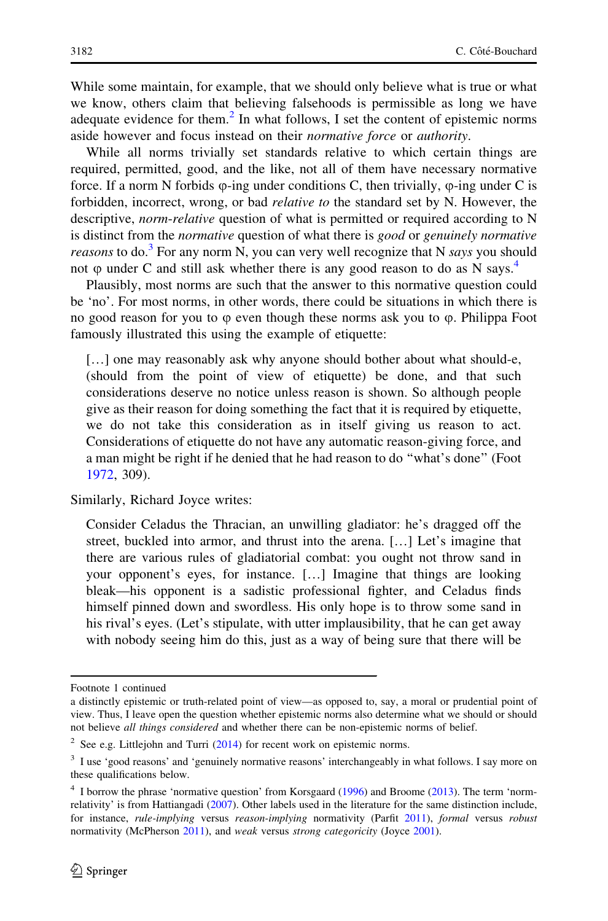While some maintain, for example, that we should only believe what is true or what we know, others claim that believing falsehoods is permissible as long we have adequate evidence for them. $<sup>2</sup>$  In what follows, I set the content of epistemic norms</sup> aside however and focus instead on their normative force or authority.

While all norms trivially set standards relative to which certain things are required, permitted, good, and the like, not all of them have necessary normative force. If a norm N forbids  $\varphi$ -ing under conditions C, then trivially,  $\varphi$ -ing under C is forbidden, incorrect, wrong, or bad *relative to* the standard set by N. However, the descriptive, *norm-relative* question of what is permitted or required according to N is distinct from the *normative* question of what there is *good* or *genuinely normative reasons* to do.<sup>3</sup> For any norm N, you can very well recognize that N says you should not  $\varphi$  under C and still ask whether there is any good reason to do as N says.<sup>4</sup>

Plausibly, most norms are such that the answer to this normative question could be 'no'. For most norms, in other words, there could be situations in which there is no good reason for you to  $\varphi$  even though these norms ask you to  $\varphi$ . Philippa Foot famously illustrated this using the example of etiquette:

[...] one may reasonably ask why anyone should bother about what should-e, (should from the point of view of etiquette) be done, and that such considerations deserve no notice unless reason is shown. So although people give as their reason for doing something the fact that it is required by etiquette, we do not take this consideration as in itself giving us reason to act. Considerations of etiquette do not have any automatic reason-giving force, and a man might be right if he denied that he had reason to do ''what's done'' (Foot [1972](#page-15-0), 309).

Similarly, Richard Joyce writes:

Consider Celadus the Thracian, an unwilling gladiator: he's dragged off the street, buckled into armor, and thrust into the arena. […] Let's imagine that there are various rules of gladiatorial combat: you ought not throw sand in your opponent's eyes, for instance. […] Imagine that things are looking bleak—his opponent is a sadistic professional fighter, and Celadus finds himself pinned down and swordless. His only hope is to throw some sand in his rival's eyes. (Let's stipulate, with utter implausibility, that he can get away with nobody seeing him do this, just as a way of being sure that there will be

Footnote 1 continued

a distinctly epistemic or truth-related point of view—as opposed to, say, a moral or prudential point of view. Thus, I leave open the question whether epistemic norms also determine what we should or should not believe all things considered and whether there can be non-epistemic norms of belief.

<sup>&</sup>lt;sup>2</sup> See e.g. Littlejohn and Turri  $(2014)$  $(2014)$  for recent work on epistemic norms.

<sup>&</sup>lt;sup>3</sup> I use 'good reasons' and 'genuinely normative reasons' interchangeably in what follows. I say more on these qualifications below.

<sup>&</sup>lt;sup>4</sup> I borrow the phrase 'normative question' from Korsgaard [\(1996](#page-16-0)) and Broome [\(2013](#page-15-0)). The term 'normrelativity' is from Hattiangadi [\(2007](#page-15-0)). Other labels used in the literature for the same distinction include, for instance, rule-implying versus reason-implying normativity (Parfit [2011\)](#page-16-0), formal versus robust normativity (McPherson [2011](#page-16-0)), and weak versus *strong categoricity* (Joyce [2001\)](#page-16-0).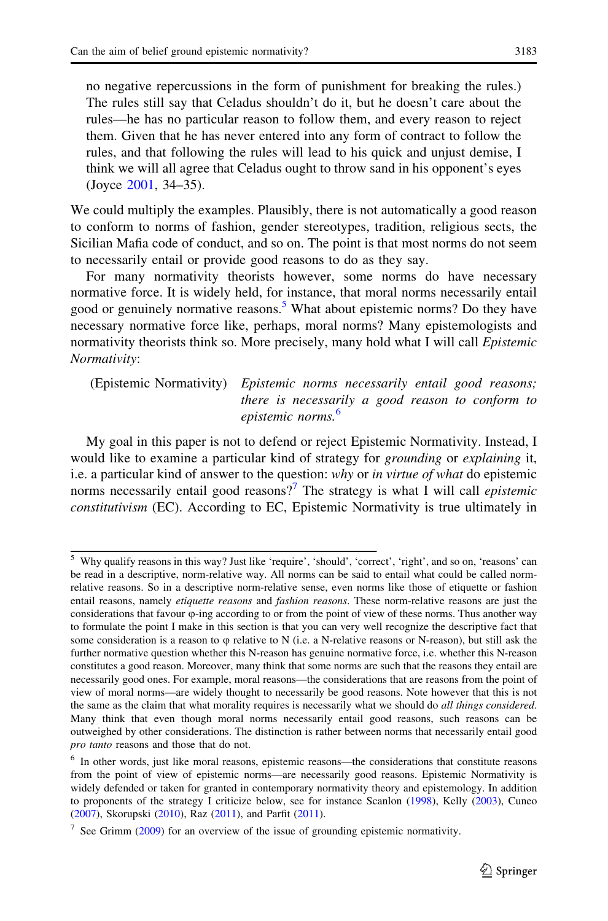no negative repercussions in the form of punishment for breaking the rules.) The rules still say that Celadus shouldn't do it, but he doesn't care about the rules—he has no particular reason to follow them, and every reason to reject them. Given that he has never entered into any form of contract to follow the rules, and that following the rules will lead to his quick and unjust demise, I think we will all agree that Celadus ought to throw sand in his opponent's eyes (Joyce [2001,](#page-16-0) 34–35).

We could multiply the examples. Plausibly, there is not automatically a good reason to conform to norms of fashion, gender stereotypes, tradition, religious sects, the Sicilian Mafia code of conduct, and so on. The point is that most norms do not seem to necessarily entail or provide good reasons to do as they say.

For many normativity theorists however, some norms do have necessary normative force. It is widely held, for instance, that moral norms necessarily entail good or genuinely normative reasons.<sup>5</sup> What about epistemic norms? Do they have necessary normative force like, perhaps, moral norms? Many epistemologists and normativity theorists think so. More precisely, many hold what I will call *Epistemic* Normativity:

(Epistemic Normativity) Epistemic norms necessarily entail good reasons; there is necessarily a good reason to conform to epistemic norms.<sup>6</sup>

My goal in this paper is not to defend or reject Epistemic Normativity. Instead, I would like to examine a particular kind of strategy for *grounding* or *explaining* it, i.e. a particular kind of answer to the question: why or in virtue of what do epistemic norms necessarily entail good reasons?<sup>7</sup> The strategy is what I will call *epistemic* constitutivism (EC). According to EC, Epistemic Normativity is true ultimately in

<sup>5</sup> Why qualify reasons in this way? Just like 'require', 'should', 'correct', 'right', and so on, 'reasons' can be read in a descriptive, norm-relative way. All norms can be said to entail what could be called normrelative reasons. So in a descriptive norm-relative sense, even norms like those of etiquette or fashion entail reasons, namely *etiquette reasons* and *fashion reasons*. These norm-relative reasons are just the considerations that favour  $\varphi$ -ing according to or from the point of view of these norms. Thus another way to formulate the point I make in this section is that you can very well recognize the descriptive fact that some consideration is a reason to  $\varphi$  relative to N (i.e. a N-relative reasons or N-reason), but still ask the further normative question whether this N-reason has genuine normative force, i.e. whether this N-reason constitutes a good reason. Moreover, many think that some norms are such that the reasons they entail are necessarily good ones. For example, moral reasons—the considerations that are reasons from the point of view of moral norms—are widely thought to necessarily be good reasons. Note however that this is not the same as the claim that what morality requires is necessarily what we should do *all things considered*. Many think that even though moral norms necessarily entail good reasons, such reasons can be outweighed by other considerations. The distinction is rather between norms that necessarily entail good pro tanto reasons and those that do not.

<sup>6</sup> In other words, just like moral reasons, epistemic reasons—the considerations that constitute reasons from the point of view of epistemic norms—are necessarily good reasons. Epistemic Normativity is widely defended or taken for granted in contemporary normativity theory and epistemology. In addition to proponents of the strategy I criticize below, see for instance Scanlon ([1998](#page-16-0)), Kelly ([2003\)](#page-16-0), Cuneo ([2007\)](#page-15-0), Skorupski [\(2010](#page-16-0)), Raz [\(2011](#page-16-0)), and Parfit [\(2011](#page-16-0)).

<sup>&</sup>lt;sup>7</sup> See Grimm [\(2009](#page-15-0)) for an overview of the issue of grounding epistemic normativity.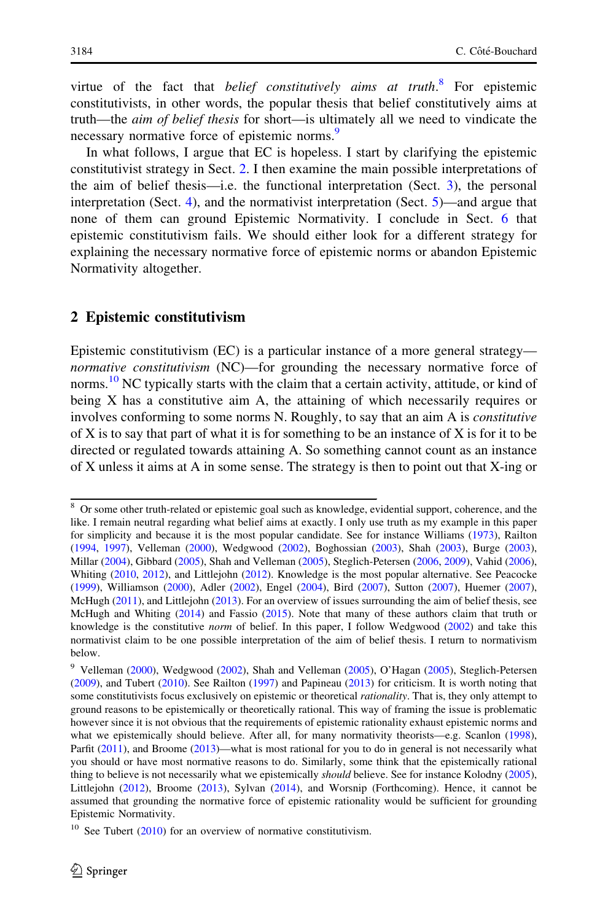virtue of the fact that *belief constitutively aims at truth*.<sup>8</sup> For epistemic constitutivists, in other words, the popular thesis that belief constitutively aims at truth—the aim of belief thesis for short—is ultimately all we need to vindicate the necessary normative force of epistemic norms.<sup>9</sup>

In what follows, I argue that EC is hopeless. I start by clarifying the epistemic constitutivist strategy in Sect. 2. I then examine the main possible interpretations of the aim of belief thesis—i.e. the functional interpretation (Sect. [3\)](#page-6-0), the personal interpretation (Sect. [4](#page-9-0)), and the normativist interpretation (Sect. [5](#page-12-0))—and argue that none of them can ground Epistemic Normativity. I conclude in Sect. [6](#page-14-0) that epistemic constitutivism fails. We should either look for a different strategy for explaining the necessary normative force of epistemic norms or abandon Epistemic Normativity altogether.

## 2 Epistemic constitutivism

Epistemic constitutivism (EC) is a particular instance of a more general strategy normative constitutivism (NC)—for grounding the necessary normative force of norms.<sup>10</sup> NC typically starts with the claim that a certain activity, attitude, or kind of being X has a constitutive aim A, the attaining of which necessarily requires or involves conforming to some norms N. Roughly, to say that an aim A is constitutive of X is to say that part of what it is for something to be an instance of X is for it to be directed or regulated towards attaining A. So something cannot count as an instance of X unless it aims at A in some sense. The strategy is then to point out that X-ing or

<sup>&</sup>lt;sup>8</sup> Or some other truth-related or epistemic goal such as knowledge, evidential support, coherence, and the like. I remain neutral regarding what belief aims at exactly. I only use truth as my example in this paper for simplicity and because it is the most popular candidate. See for instance Williams [\(1973](#page-17-0)), Railton ([1994,](#page-16-0) [1997](#page-16-0)), Velleman ([2000\)](#page-17-0), Wedgwood ([2002\)](#page-17-0), Boghossian ([2003](#page-15-0)), Shah ([2003\)](#page-16-0), Burge ([2003\)](#page-15-0), Millar ([2004\)](#page-16-0), Gibbard ([2005\)](#page-15-0), Shah and Velleman [\(2005](#page-16-0)), Steglich-Petersen [\(2006](#page-16-0), [2009](#page-16-0)), Vahid ([2006\)](#page-17-0), Whiting ([2010](#page-17-0), [2012](#page-17-0)), and Littlejohn [\(2012](#page-16-0)). Knowledge is the most popular alternative. See Peacocke ([1999\)](#page-16-0), Williamson ([2000\)](#page-17-0), Adler ([2002\)](#page-15-0), Engel [\(2004](#page-15-0)), Bird ([2007](#page-15-0)), Sutton [\(2007](#page-16-0)), Huemer ([2007\)](#page-16-0), McHugh ([2011\)](#page-16-0), and Littlejohn ([2013\)](#page-16-0). For an overview of issues surrounding the aim of belief thesis, see McHugh and Whiting [\(2014](#page-16-0)) and Fassio [\(2015](#page-15-0)). Note that many of these authors claim that truth or knowledge is the constitutive *norm* of belief. In this paper, I follow Wedgwood ([2002\)](#page-17-0) and take this normativist claim to be one possible interpretation of the aim of belief thesis. I return to normativism below.

<sup>&</sup>lt;sup>9</sup> Velleman [\(2000](#page-17-0)), Wedgwood [\(2002](#page-17-0)), Shah and Velleman ([2005\)](#page-16-0), O'Hagan [\(2005](#page-16-0)), Steglich-Petersen ([2009\)](#page-16-0), and Tubert [\(2010](#page-17-0)). See Railton ([1997\)](#page-16-0) and Papineau [\(2013\)](#page-16-0) for criticism. It is worth noting that some constitutivists focus exclusively on epistemic or theoretical *rationality*. That is, they only attempt to ground reasons to be epistemically or theoretically rational. This way of framing the issue is problematic however since it is not obvious that the requirements of epistemic rationality exhaust epistemic norms and what we epistemically should believe. After all, for many normativity theorists—e.g. Scanlon ([1998\)](#page-16-0), Parfit [\(2011](#page-16-0)), and Broome [\(2013](#page-15-0))—what is most rational for you to do in general is not necessarily what you should or have most normative reasons to do. Similarly, some think that the epistemically rational thing to believe is not necessarily what we epistemically *should* believe. See for instance Kolodny ([2005\)](#page-16-0), Littlejohn ([2012\)](#page-16-0), Broome [\(2013](#page-15-0)), Sylvan [\(2014](#page-16-0)), and Worsnip (Forthcoming). Hence, it cannot be assumed that grounding the normative force of epistemic rationality would be sufficient for grounding Epistemic Normativity.

 $10$  See Tubert ([2010\)](#page-17-0) for an overview of normative constitutivism.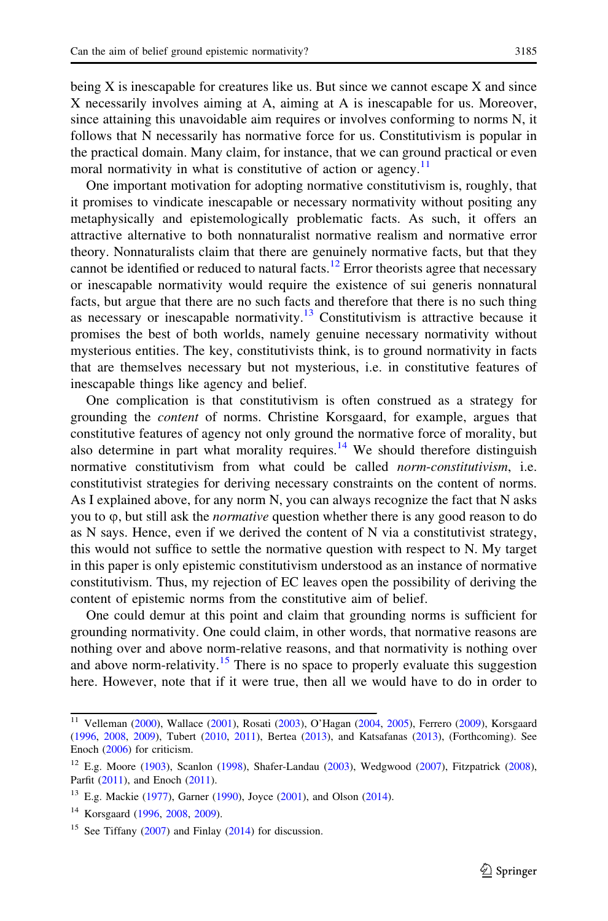being  $X$  is inescapable for creatures like us. But since we cannot escape  $X$  and since X necessarily involves aiming at A, aiming at A is inescapable for us. Moreover, since attaining this unavoidable aim requires or involves conforming to norms N, it follows that N necessarily has normative force for us. Constitutivism is popular in the practical domain. Many claim, for instance, that we can ground practical or even moral normativity in what is constitutive of action or agency.<sup>11</sup>

One important motivation for adopting normative constitutivism is, roughly, that it promises to vindicate inescapable or necessary normativity without positing any metaphysically and epistemologically problematic facts. As such, it offers an attractive alternative to both nonnaturalist normative realism and normative error theory. Nonnaturalists claim that there are genuinely normative facts, but that they cannot be identified or reduced to natural facts.<sup>12</sup> Error theorists agree that necessary or inescapable normativity would require the existence of sui generis nonnatural facts, but argue that there are no such facts and therefore that there is no such thing as necessary or inescapable normativity.<sup>13</sup> Constitutivism is attractive because it promises the best of both worlds, namely genuine necessary normativity without mysterious entities. The key, constitutivists think, is to ground normativity in facts that are themselves necessary but not mysterious, i.e. in constitutive features of inescapable things like agency and belief.

One complication is that constitutivism is often construed as a strategy for grounding the content of norms. Christine Korsgaard, for example, argues that constitutive features of agency not only ground the normative force of morality, but also determine in part what morality requires.<sup>14</sup> We should therefore distinguish normative constitutivism from what could be called *norm-constitutivism*, i.e. constitutivist strategies for deriving necessary constraints on the content of norms. As I explained above, for any norm N, you can always recognize the fact that N asks you to  $\varphi$ , but still ask the *normative* question whether there is any good reason to do as N says. Hence, even if we derived the content of N via a constitutivist strategy, this would not suffice to settle the normative question with respect to N. My target in this paper is only epistemic constitutivism understood as an instance of normative constitutivism. Thus, my rejection of EC leaves open the possibility of deriving the content of epistemic norms from the constitutive aim of belief.

One could demur at this point and claim that grounding norms is sufficient for grounding normativity. One could claim, in other words, that normative reasons are nothing over and above norm-relative reasons, and that normativity is nothing over and above norm-relativity.<sup>15</sup> There is no space to properly evaluate this suggestion here. However, note that if it were true, then all we would have to do in order to

<sup>11</sup> Velleman [\(2000](#page-17-0)), Wallace [\(2001](#page-17-0)), Rosati [\(2003](#page-16-0)), O'Hagan [\(2004](#page-16-0), [2005\)](#page-16-0), Ferrero ([2009\)](#page-15-0), Korsgaard ([1996,](#page-16-0) [2008,](#page-16-0) [2009](#page-16-0)), Tubert [\(2010,](#page-17-0) [2011](#page-17-0)), Bertea ([2013](#page-15-0)), and Katsafanas ([2013\)](#page-16-0), (Forthcoming). See Enoch ([2006\)](#page-15-0) for criticism.

 $12$  E.g. Moore [\(1903](#page-16-0)), Scanlon ([1998\)](#page-16-0), Shafer-Landau ([2003\)](#page-16-0), Wedgwood [\(2007](#page-17-0)), Fitzpatrick ([2008\)](#page-15-0), Parfit ([2011](#page-16-0)), and Enoch ([2011](#page-15-0)).

<sup>&</sup>lt;sup>13</sup> E.g. Mackie ([1977\)](#page-16-0), Garner [\(1990](#page-15-0)), Joyce ([2001\)](#page-16-0), and Olson ([2014](#page-16-0)).

<sup>&</sup>lt;sup>14</sup> Korsgaard [\(1996](#page-16-0), [2008,](#page-16-0) [2009](#page-16-0)).

 $15$  See Tiffany [\(2007](#page-17-0)) and Finlay [\(2014](#page-15-0)) for discussion.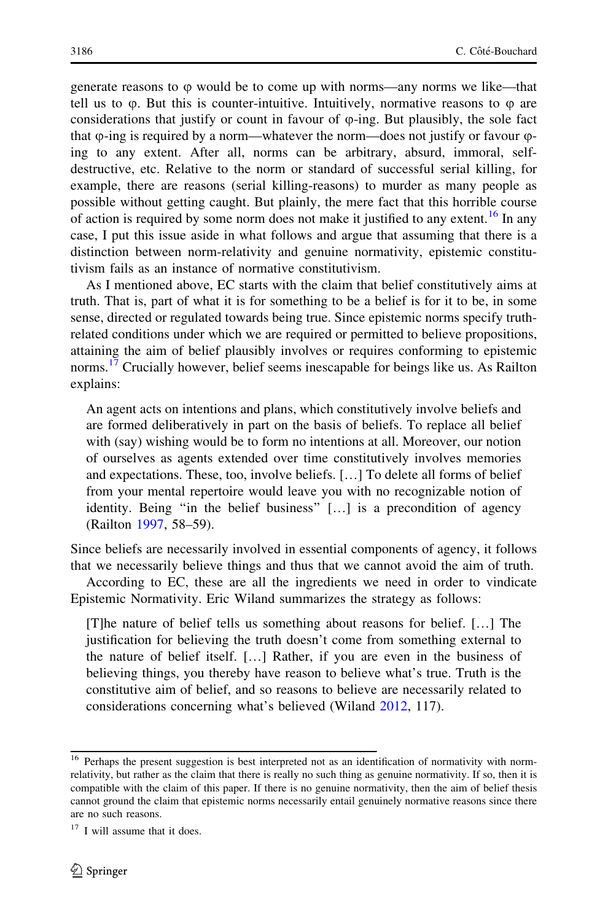generate reasons to  $\varphi$  would be to come up with norms—any norms we like—that tell us to  $\varphi$ . But this is counter-intuitive. Intuitively, normative reasons to  $\varphi$  are considerations that justify or count in favour of  $\varphi$ -ing. But plausibly, the sole fact that  $\varphi$ -ing is required by a norm—whatever the norm—does not justify or favour  $\varphi$ ing to any extent. After all, norms can be arbitrary, absurd, immoral, selfdestructive, etc. Relative to the norm or standard of successful serial killing, for example, there are reasons (serial killing-reasons) to murder as many people as possible without getting caught. But plainly, the mere fact that this horrible course of action is required by some norm does not make it justified to any extent.<sup>16</sup> In any case, I put this issue aside in what follows and argue that assuming that there is a distinction between norm-relativity and genuine normativity, epistemic constitutivism fails as an instance of normative constitutivism.

As I mentioned above, EC starts with the claim that belief constitutively aims at truth. That is, part of what it is for something to be a belief is for it to be, in some sense, directed or regulated towards being true. Since epistemic norms specify truthrelated conditions under which we are required or permitted to believe propositions, attaining the aim of belief plausibly involves or requires conforming to epistemic norms.<sup>17</sup> Crucially however, belief seems inescapable for beings like us. As Railton explains:

An agent acts on intentions and plans, which constitutively involve beliefs and are formed deliberatively in part on the basis of beliefs. To replace all belief with (say) wishing would be to form no intentions at all. Moreover, our notion of ourselves as agents extended over time constitutively involves memories and expectations. These, too, involve beliefs. […] To delete all forms of belief from your mental repertoire would leave you with no recognizable notion of identity. Being ''in the belief business'' […] is a precondition of agency (Railton [1997](#page-16-0), 58–59).

Since beliefs are necessarily involved in essential components of agency, it follows that we necessarily believe things and thus that we cannot avoid the aim of truth.

According to EC, these are all the ingredients we need in order to vindicate Epistemic Normativity. Eric Wiland summarizes the strategy as follows:

[T]he nature of belief tells us something about reasons for belief. […] The justification for believing the truth doesn't come from something external to the nature of belief itself. […] Rather, if you are even in the business of believing things, you thereby have reason to believe what's true. Truth is the constitutive aim of belief, and so reasons to believe are necessarily related to considerations concerning what's believed (Wiland [2012,](#page-17-0) 117).

<sup>&</sup>lt;sup>16</sup> Perhaps the present suggestion is best interpreted not as an identification of normativity with normrelativity, but rather as the claim that there is really no such thing as genuine normativity. If so, then it is compatible with the claim of this paper. If there is no genuine normativity, then the aim of belief thesis cannot ground the claim that epistemic norms necessarily entail genuinely normative reasons since there are no such reasons.

<sup>&</sup>lt;sup>17</sup> I will assume that it does.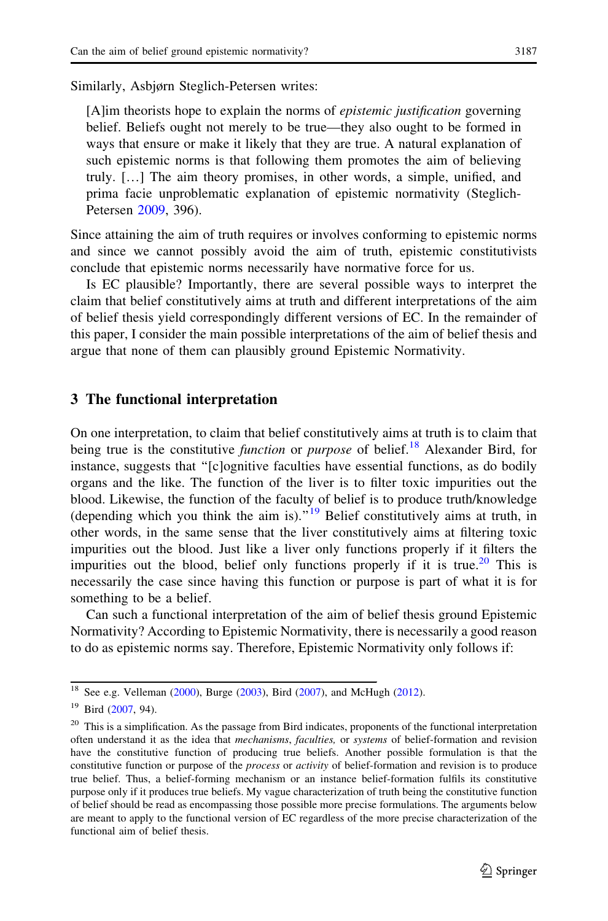<span id="page-6-0"></span>Similarly, Asbjørn Steglich-Petersen writes:

[A]im theorists hope to explain the norms of *epistemic justification* governing belief. Beliefs ought not merely to be true—they also ought to be formed in ways that ensure or make it likely that they are true. A natural explanation of such epistemic norms is that following them promotes the aim of believing truly. […] The aim theory promises, in other words, a simple, unified, and prima facie unproblematic explanation of epistemic normativity (Steglich-Petersen [2009,](#page-16-0) 396).

Since attaining the aim of truth requires or involves conforming to epistemic norms and since we cannot possibly avoid the aim of truth, epistemic constitutivists conclude that epistemic norms necessarily have normative force for us.

Is EC plausible? Importantly, there are several possible ways to interpret the claim that belief constitutively aims at truth and different interpretations of the aim of belief thesis yield correspondingly different versions of EC. In the remainder of this paper, I consider the main possible interpretations of the aim of belief thesis and argue that none of them can plausibly ground Epistemic Normativity.

## 3 The functional interpretation

On one interpretation, to claim that belief constitutively aims at truth is to claim that being true is the constitutive *function* or *purpose* of belief.<sup>18</sup> Alexander Bird, for instance, suggests that ''[c]ognitive faculties have essential functions, as do bodily organs and the like. The function of the liver is to filter toxic impurities out the blood. Likewise, the function of the faculty of belief is to produce truth/knowledge (depending which you think the aim is). $\frac{19}{19}$  Belief constitutively aims at truth, in other words, in the same sense that the liver constitutively aims at filtering toxic impurities out the blood. Just like a liver only functions properly if it filters the impurities out the blood, belief only functions properly if it is true.<sup>20</sup> This is necessarily the case since having this function or purpose is part of what it is for something to be a belief.

Can such a functional interpretation of the aim of belief thesis ground Epistemic Normativity? According to Epistemic Normativity, there is necessarily a good reason to do as epistemic norms say. Therefore, Epistemic Normativity only follows if:

<sup>&</sup>lt;sup>18</sup> See e.g. Velleman ([2000\)](#page-17-0), Burge ([2003](#page-15-0)), Bird [\(2007](#page-15-0)), and McHugh [\(2012](#page-16-0)).

 $19$  Bird [\(2007](#page-15-0), 94).

<sup>&</sup>lt;sup>20</sup> This is a simplification. As the passage from Bird indicates, proponents of the functional interpretation often understand it as the idea that mechanisms, faculties, or systems of belief-formation and revision have the constitutive function of producing true beliefs. Another possible formulation is that the constitutive function or purpose of the *process* or *activity* of belief-formation and revision is to produce true belief. Thus, a belief-forming mechanism or an instance belief-formation fulfils its constitutive purpose only if it produces true beliefs. My vague characterization of truth being the constitutive function of belief should be read as encompassing those possible more precise formulations. The arguments below are meant to apply to the functional version of EC regardless of the more precise characterization of the functional aim of belief thesis.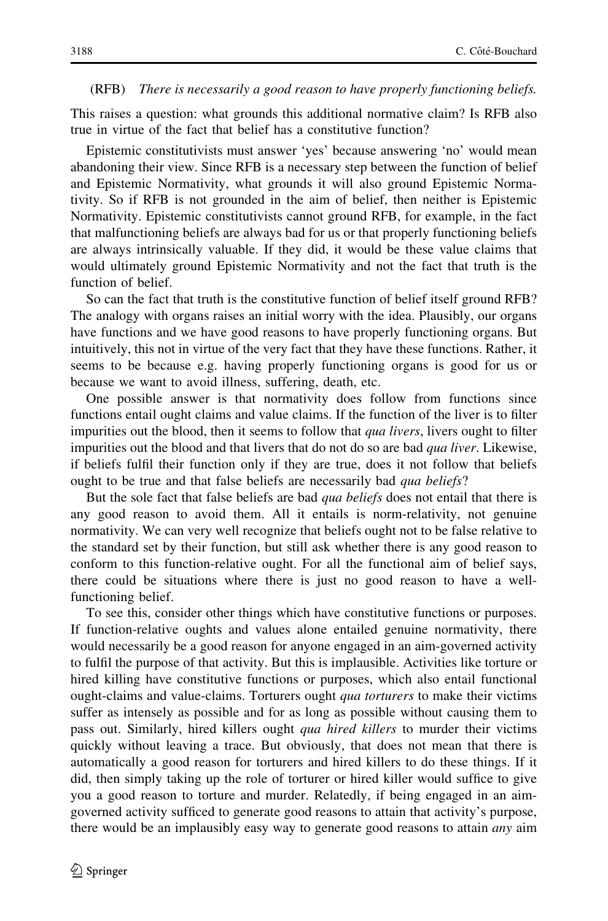#### (RFB) There is necessarily a good reason to have properly functioning beliefs.

This raises a question: what grounds this additional normative claim? Is RFB also true in virtue of the fact that belief has a constitutive function?

Epistemic constitutivists must answer 'yes' because answering 'no' would mean abandoning their view. Since RFB is a necessary step between the function of belief and Epistemic Normativity, what grounds it will also ground Epistemic Normativity. So if RFB is not grounded in the aim of belief, then neither is Epistemic Normativity. Epistemic constitutivists cannot ground RFB, for example, in the fact that malfunctioning beliefs are always bad for us or that properly functioning beliefs are always intrinsically valuable. If they did, it would be these value claims that would ultimately ground Epistemic Normativity and not the fact that truth is the function of belief.

So can the fact that truth is the constitutive function of belief itself ground RFB? The analogy with organs raises an initial worry with the idea. Plausibly, our organs have functions and we have good reasons to have properly functioning organs. But intuitively, this not in virtue of the very fact that they have these functions. Rather, it seems to be because e.g. having properly functioning organs is good for us or because we want to avoid illness, suffering, death, etc.

One possible answer is that normativity does follow from functions since functions entail ought claims and value claims. If the function of the liver is to filter impurities out the blood, then it seems to follow that qua livers, livers ought to filter impurities out the blood and that livers that do not do so are bad *qua liver*. Likewise, if beliefs fulfil their function only if they are true, does it not follow that beliefs ought to be true and that false beliefs are necessarily bad *qua beliefs*?

But the sole fact that false beliefs are bad *qua beliefs* does not entail that there is any good reason to avoid them. All it entails is norm-relativity, not genuine normativity. We can very well recognize that beliefs ought not to be false relative to the standard set by their function, but still ask whether there is any good reason to conform to this function-relative ought. For all the functional aim of belief says, there could be situations where there is just no good reason to have a wellfunctioning belief.

To see this, consider other things which have constitutive functions or purposes. If function-relative oughts and values alone entailed genuine normativity, there would necessarily be a good reason for anyone engaged in an aim-governed activity to fulfil the purpose of that activity. But this is implausible. Activities like torture or hired killing have constitutive functions or purposes, which also entail functional ought-claims and value-claims. Torturers ought *qua torturers* to make their victims suffer as intensely as possible and for as long as possible without causing them to pass out. Similarly, hired killers ought *qua hired killers* to murder their victims quickly without leaving a trace. But obviously, that does not mean that there is automatically a good reason for torturers and hired killers to do these things. If it did, then simply taking up the role of torturer or hired killer would suffice to give you a good reason to torture and murder. Relatedly, if being engaged in an aimgoverned activity sufficed to generate good reasons to attain that activity's purpose, there would be an implausibly easy way to generate good reasons to attain *any* aim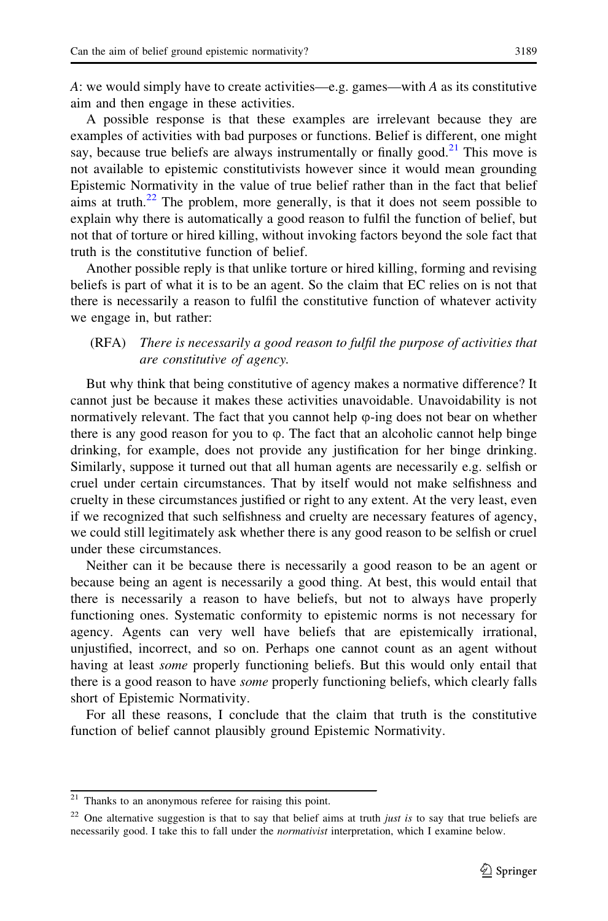A: we would simply have to create activities—e.g. games—with A as its constitutive aim and then engage in these activities.

A possible response is that these examples are irrelevant because they are examples of activities with bad purposes or functions. Belief is different, one might say, because true beliefs are always instrumentally or finally good.<sup>21</sup> This move is not available to epistemic constitutivists however since it would mean grounding Epistemic Normativity in the value of true belief rather than in the fact that belief aims at truth.<sup>22</sup> The problem, more generally, is that it does not seem possible to explain why there is automatically a good reason to fulfil the function of belief, but not that of torture or hired killing, without invoking factors beyond the sole fact that truth is the constitutive function of belief.

Another possible reply is that unlike torture or hired killing, forming and revising beliefs is part of what it is to be an agent. So the claim that EC relies on is not that there is necessarily a reason to fulfil the constitutive function of whatever activity we engage in, but rather:

## (RFA) There is necessarily a good reason to fulfil the purpose of activities that are constitutive of agency.

But why think that being constitutive of agency makes a normative difference? It cannot just be because it makes these activities unavoidable. Unavoidability is not normatively relevant. The fact that you cannot help  $\varphi$ -ing does not bear on whether there is any good reason for you to  $\varphi$ . The fact that an alcoholic cannot help binge drinking, for example, does not provide any justification for her binge drinking. Similarly, suppose it turned out that all human agents are necessarily e.g. selfish or cruel under certain circumstances. That by itself would not make selfishness and cruelty in these circumstances justified or right to any extent. At the very least, even if we recognized that such selfishness and cruelty are necessary features of agency, we could still legitimately ask whether there is any good reason to be selfish or cruel under these circumstances.

Neither can it be because there is necessarily a good reason to be an agent or because being an agent is necessarily a good thing. At best, this would entail that there is necessarily a reason to have beliefs, but not to always have properly functioning ones. Systematic conformity to epistemic norms is not necessary for agency. Agents can very well have beliefs that are epistemically irrational, unjustified, incorrect, and so on. Perhaps one cannot count as an agent without having at least *some* properly functioning beliefs. But this would only entail that there is a good reason to have *some* properly functioning beliefs, which clearly falls short of Epistemic Normativity.

For all these reasons, I conclude that the claim that truth is the constitutive function of belief cannot plausibly ground Epistemic Normativity.

<sup>21</sup> Thanks to an anonymous referee for raising this point.

 $22$  One alternative suggestion is that to say that belief aims at truth *just is* to say that true beliefs are necessarily good. I take this to fall under the *normativist* interpretation, which I examine below.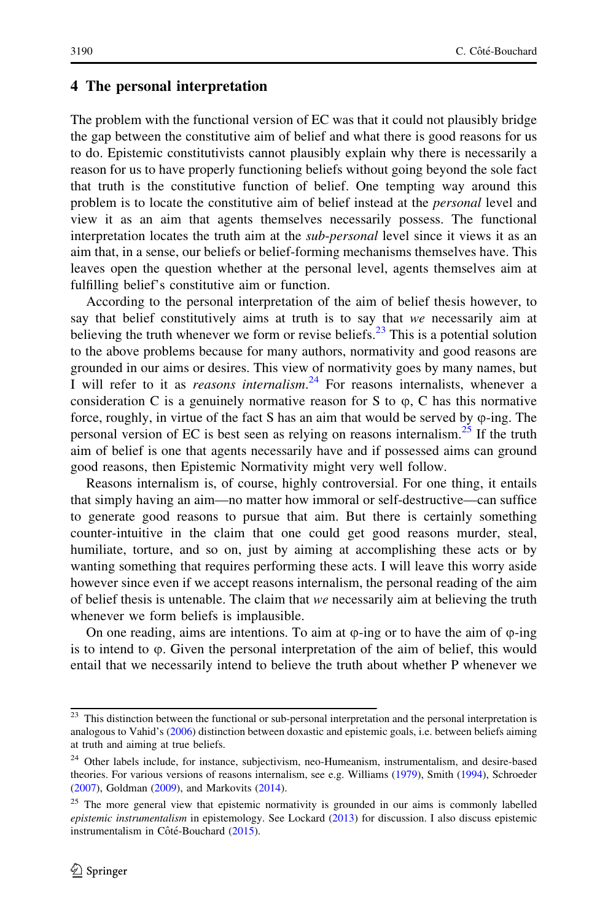#### <span id="page-9-0"></span>4 The personal interpretation

The problem with the functional version of EC was that it could not plausibly bridge the gap between the constitutive aim of belief and what there is good reasons for us to do. Epistemic constitutivists cannot plausibly explain why there is necessarily a reason for us to have properly functioning beliefs without going beyond the sole fact that truth is the constitutive function of belief. One tempting way around this problem is to locate the constitutive aim of belief instead at the *personal* level and view it as an aim that agents themselves necessarily possess. The functional interpretation locates the truth aim at the sub-personal level since it views it as an aim that, in a sense, our beliefs or belief-forming mechanisms themselves have. This leaves open the question whether at the personal level, agents themselves aim at fulfilling belief's constitutive aim or function.

According to the personal interpretation of the aim of belief thesis however, to say that belief constitutively aims at truth is to say that we necessarily aim at believing the truth whenever we form or revise beliefs.<sup>23</sup> This is a potential solution to the above problems because for many authors, normativity and good reasons are grounded in our aims or desires. This view of normativity goes by many names, but I will refer to it as *reasons internalism*.<sup>24</sup> For reasons internalists, whenever a consideration C is a genuinely normative reason for S to  $\varphi$ , C has this normative force, roughly, in virtue of the fact S has an aim that would be served by  $\varphi$ -ing. The personal version of EC is best seen as relying on reasons internalism.<sup>25</sup> If the truth aim of belief is one that agents necessarily have and if possessed aims can ground good reasons, then Epistemic Normativity might very well follow.

Reasons internalism is, of course, highly controversial. For one thing, it entails that simply having an aim—no matter how immoral or self-destructive—can suffice to generate good reasons to pursue that aim. But there is certainly something counter-intuitive in the claim that one could get good reasons murder, steal, humiliate, torture, and so on, just by aiming at accomplishing these acts or by wanting something that requires performing these acts. I will leave this worry aside however since even if we accept reasons internalism, the personal reading of the aim of belief thesis is untenable. The claim that we necessarily aim at believing the truth whenever we form beliefs is implausible.

On one reading, aims are intentions. To aim at  $\varphi$ -ing or to have the aim of  $\varphi$ -ing is to intend to  $\varphi$ . Given the personal interpretation of the aim of belief, this would entail that we necessarily intend to believe the truth about whether P whenever we

 $\frac{23}{23}$  This distinction between the functional or sub-personal interpretation and the personal interpretation is analogous to Vahid's [\(2006\)](#page-17-0) distinction between doxastic and epistemic goals, i.e. between beliefs aiming at truth and aiming at true beliefs.

<sup>&</sup>lt;sup>24</sup> Other labels include, for instance, subjectivism, neo-Humeanism, instrumentalism, and desire-based theories. For various versions of reasons internalism, see e.g. Williams ([1979\)](#page-17-0), Smith [\(1994\)](#page-16-0), Schroeder ([2007\)](#page-16-0), Goldman ([2009\)](#page-15-0), and Markovits [\(2014](#page-16-0)).

<sup>&</sup>lt;sup>25</sup> The more general view that epistemic normativity is grounded in our aims is commonly labelled epistemic instrumentalism in epistemology. See Lockard [\(2013](#page-16-0)) for discussion. I also discuss epistemic instrumentalism in Côté-Bouchard ([2015\)](#page-15-0).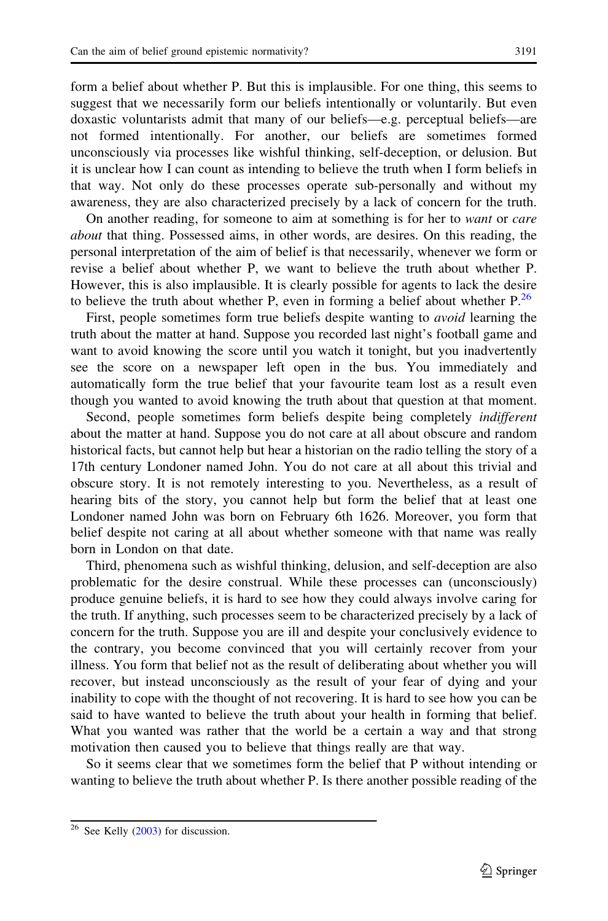form a belief about whether P. But this is implausible. For one thing, this seems to suggest that we necessarily form our beliefs intentionally or voluntarily. But even doxastic voluntarists admit that many of our beliefs—e.g. perceptual beliefs—are not formed intentionally. For another, our beliefs are sometimes formed unconsciously via processes like wishful thinking, self-deception, or delusion. But it is unclear how I can count as intending to believe the truth when I form beliefs in that way. Not only do these processes operate sub-personally and without my awareness, they are also characterized precisely by a lack of concern for the truth.

On another reading, for someone to aim at something is for her to want or care about that thing. Possessed aims, in other words, are desires. On this reading, the personal interpretation of the aim of belief is that necessarily, whenever we form or revise a belief about whether P, we want to believe the truth about whether P. However, this is also implausible. It is clearly possible for agents to lack the desire to believe the truth about whether P, even in forming a belief about whether  $P^{26}$ 

First, people sometimes form true beliefs despite wanting to *avoid* learning the truth about the matter at hand. Suppose you recorded last night's football game and want to avoid knowing the score until you watch it tonight, but you inadvertently see the score on a newspaper left open in the bus. You immediately and automatically form the true belief that your favourite team lost as a result even though you wanted to avoid knowing the truth about that question at that moment.

Second, people sometimes form beliefs despite being completely indifferent about the matter at hand. Suppose you do not care at all about obscure and random historical facts, but cannot help but hear a historian on the radio telling the story of a 17th century Londoner named John. You do not care at all about this trivial and obscure story. It is not remotely interesting to you. Nevertheless, as a result of hearing bits of the story, you cannot help but form the belief that at least one Londoner named John was born on February 6th 1626. Moreover, you form that belief despite not caring at all about whether someone with that name was really born in London on that date.

Third, phenomena such as wishful thinking, delusion, and self-deception are also problematic for the desire construal. While these processes can (unconsciously) produce genuine beliefs, it is hard to see how they could always involve caring for the truth. If anything, such processes seem to be characterized precisely by a lack of concern for the truth. Suppose you are ill and despite your conclusively evidence to the contrary, you become convinced that you will certainly recover from your illness. You form that belief not as the result of deliberating about whether you will recover, but instead unconsciously as the result of your fear of dying and your inability to cope with the thought of not recovering. It is hard to see how you can be said to have wanted to believe the truth about your health in forming that belief. What you wanted was rather that the world be a certain a way and that strong motivation then caused you to believe that things really are that way.

So it seems clear that we sometimes form the belief that P without intending or wanting to believe the truth about whether P. Is there another possible reading of the

 $26$  See Kelly [\(2003](#page-16-0)) for discussion.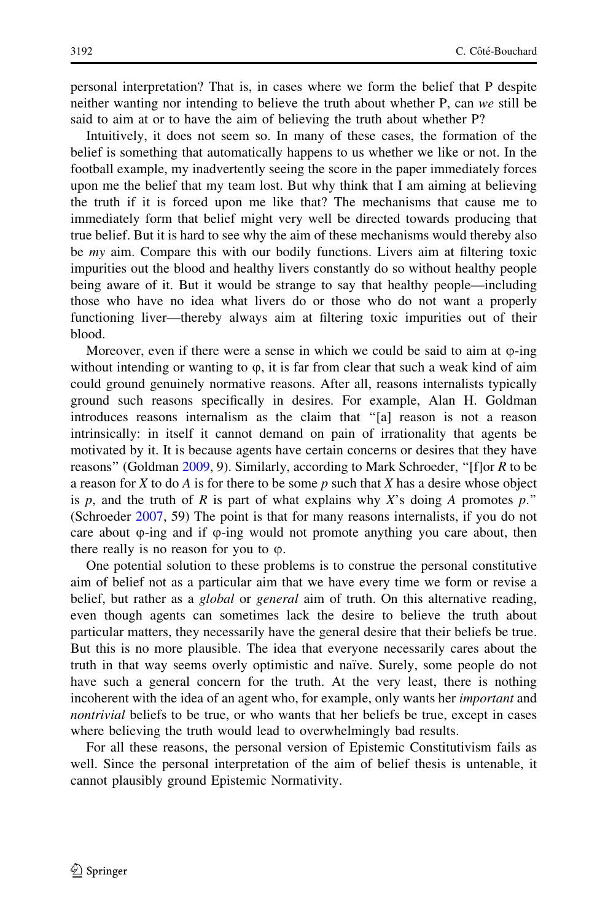personal interpretation? That is, in cases where we form the belief that P despite neither wanting nor intending to believe the truth about whether P, can we still be said to aim at or to have the aim of believing the truth about whether P?

Intuitively, it does not seem so. In many of these cases, the formation of the belief is something that automatically happens to us whether we like or not. In the football example, my inadvertently seeing the score in the paper immediately forces upon me the belief that my team lost. But why think that I am aiming at believing the truth if it is forced upon me like that? The mechanisms that cause me to immediately form that belief might very well be directed towards producing that true belief. But it is hard to see why the aim of these mechanisms would thereby also be *my* aim. Compare this with our bodily functions. Livers aim at filtering toxic impurities out the blood and healthy livers constantly do so without healthy people being aware of it. But it would be strange to say that healthy people—including those who have no idea what livers do or those who do not want a properly functioning liver—thereby always aim at filtering toxic impurities out of their blood.

Moreover, even if there were a sense in which we could be said to aim at  $\varphi$ -ing without intending or wanting to  $\varphi$ , it is far from clear that such a weak kind of aim could ground genuinely normative reasons. After all, reasons internalists typically ground such reasons specifically in desires. For example, Alan H. Goldman introduces reasons internalism as the claim that ''[a] reason is not a reason intrinsically: in itself it cannot demand on pain of irrationality that agents be motivated by it. It is because agents have certain concerns or desires that they have reasons" (Goldman [2009,](#page-15-0) 9). Similarly, according to Mark Schroeder, "[f]or R to be a reason for X to do A is for there to be some p such that X has a desire whose object is p, and the truth of R is part of what explains why  $X$ 's doing A promotes p." (Schroeder [2007](#page-16-0), 59) The point is that for many reasons internalists, if you do not care about  $\varphi$ -ing and if  $\varphi$ -ing would not promote anything you care about, then there really is no reason for you to  $\varphi$ .

One potential solution to these problems is to construe the personal constitutive aim of belief not as a particular aim that we have every time we form or revise a belief, but rather as a *global* or *general* aim of truth. On this alternative reading, even though agents can sometimes lack the desire to believe the truth about particular matters, they necessarily have the general desire that their beliefs be true. But this is no more plausible. The idea that everyone necessarily cares about the truth in that way seems overly optimistic and naïve. Surely, some people do not have such a general concern for the truth. At the very least, there is nothing incoherent with the idea of an agent who, for example, only wants her *important* and nontrivial beliefs to be true, or who wants that her beliefs be true, except in cases where believing the truth would lead to overwhelmingly bad results.

For all these reasons, the personal version of Epistemic Constitutivism fails as well. Since the personal interpretation of the aim of belief thesis is untenable, it cannot plausibly ground Epistemic Normativity.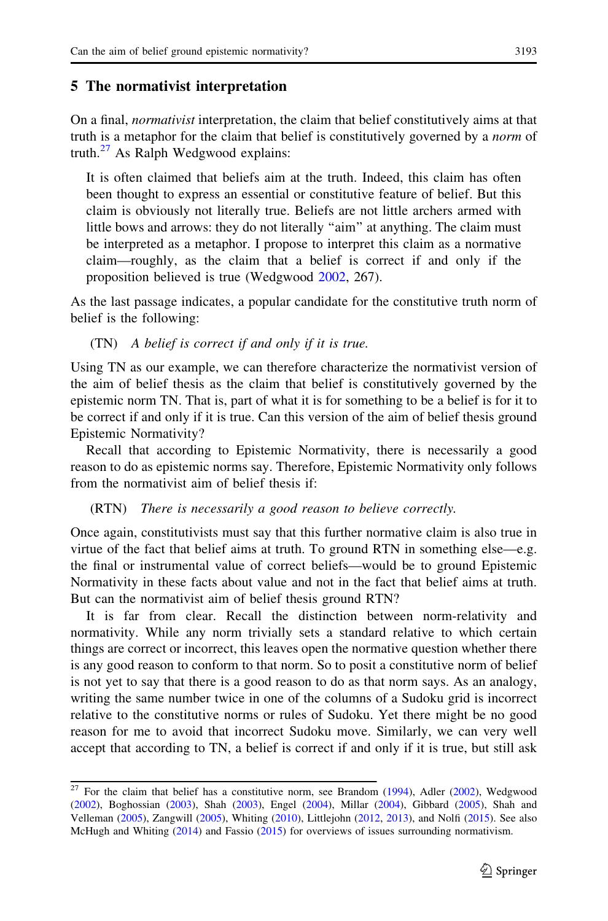## <span id="page-12-0"></span>5 The normativist interpretation

On a final, normativist interpretation, the claim that belief constitutively aims at that truth is a metaphor for the claim that belief is constitutively governed by a *norm* of truth. $27$  As Ralph Wedgwood explains:

It is often claimed that beliefs aim at the truth. Indeed, this claim has often been thought to express an essential or constitutive feature of belief. But this claim is obviously not literally true. Beliefs are not little archers armed with little bows and arrows: they do not literally "aim" at anything. The claim must be interpreted as a metaphor. I propose to interpret this claim as a normative claim—roughly, as the claim that a belief is correct if and only if the proposition believed is true (Wedgwood [2002](#page-17-0), 267).

As the last passage indicates, a popular candidate for the constitutive truth norm of belief is the following:

## (TN) A belief is correct if and only if it is true.

Using TN as our example, we can therefore characterize the normativist version of the aim of belief thesis as the claim that belief is constitutively governed by the epistemic norm TN. That is, part of what it is for something to be a belief is for it to be correct if and only if it is true. Can this version of the aim of belief thesis ground Epistemic Normativity?

Recall that according to Epistemic Normativity, there is necessarily a good reason to do as epistemic norms say. Therefore, Epistemic Normativity only follows from the normativist aim of belief thesis if:

#### (RTN) There is necessarily a good reason to believe correctly.

Once again, constitutivists must say that this further normative claim is also true in virtue of the fact that belief aims at truth. To ground RTN in something else—e.g. the final or instrumental value of correct beliefs—would be to ground Epistemic Normativity in these facts about value and not in the fact that belief aims at truth. But can the normativist aim of belief thesis ground RTN?

It is far from clear. Recall the distinction between norm-relativity and normativity. While any norm trivially sets a standard relative to which certain things are correct or incorrect, this leaves open the normative question whether there is any good reason to conform to that norm. So to posit a constitutive norm of belief is not yet to say that there is a good reason to do as that norm says. As an analogy, writing the same number twice in one of the columns of a Sudoku grid is incorrect relative to the constitutive norms or rules of Sudoku. Yet there might be no good reason for me to avoid that incorrect Sudoku move. Similarly, we can very well accept that according to TN, a belief is correct if and only if it is true, but still ask

 $27$  For the claim that belief has a constitutive norm, see Brandom ([1994\)](#page-15-0), Adler ([2002\)](#page-15-0), Wedgwood ([2002\)](#page-17-0), Boghossian ([2003\)](#page-15-0), Shah ([2003\)](#page-16-0), Engel [\(2004](#page-15-0)), Millar [\(2004](#page-16-0)), Gibbard ([2005](#page-15-0)), Shah and Velleman [\(2005](#page-16-0)), Zangwill ([2005](#page-17-0)), Whiting [\(2010\)](#page-17-0), Littlejohn ([2012,](#page-16-0) [2013](#page-16-0)), and Nolfi [\(2015](#page-16-0)). See also McHugh and Whiting ([2014](#page-16-0)) and Fassio ([2015](#page-15-0)) for overviews of issues surrounding normativism.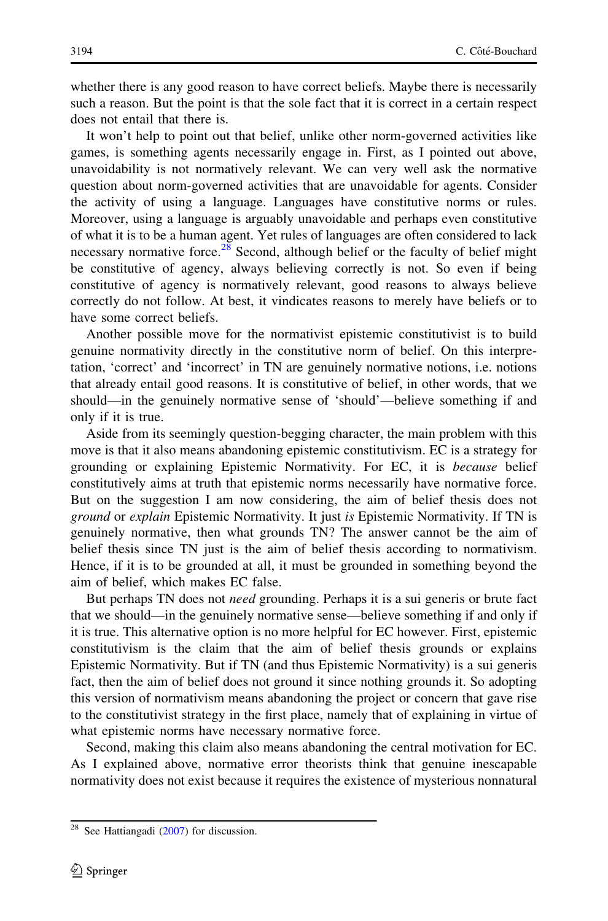whether there is any good reason to have correct beliefs. Maybe there is necessarily such a reason. But the point is that the sole fact that it is correct in a certain respect does not entail that there is.

It won't help to point out that belief, unlike other norm-governed activities like games, is something agents necessarily engage in. First, as I pointed out above, unavoidability is not normatively relevant. We can very well ask the normative question about norm-governed activities that are unavoidable for agents. Consider the activity of using a language. Languages have constitutive norms or rules. Moreover, using a language is arguably unavoidable and perhaps even constitutive of what it is to be a human agent. Yet rules of languages are often considered to lack necessary normative force.<sup>28</sup> Second, although belief or the faculty of belief might be constitutive of agency, always believing correctly is not. So even if being constitutive of agency is normatively relevant, good reasons to always believe correctly do not follow. At best, it vindicates reasons to merely have beliefs or to have some correct beliefs.

Another possible move for the normativist epistemic constitutivist is to build genuine normativity directly in the constitutive norm of belief. On this interpretation, 'correct' and 'incorrect' in TN are genuinely normative notions, i.e. notions that already entail good reasons. It is constitutive of belief, in other words, that we should—in the genuinely normative sense of 'should'—believe something if and only if it is true.

Aside from its seemingly question-begging character, the main problem with this move is that it also means abandoning epistemic constitutivism. EC is a strategy for grounding or explaining Epistemic Normativity. For EC, it is because belief constitutively aims at truth that epistemic norms necessarily have normative force. But on the suggestion I am now considering, the aim of belief thesis does not ground or explain Epistemic Normativity. It just is Epistemic Normativity. If TN is genuinely normative, then what grounds TN? The answer cannot be the aim of belief thesis since TN just is the aim of belief thesis according to normativism. Hence, if it is to be grounded at all, it must be grounded in something beyond the aim of belief, which makes EC false.

But perhaps TN does not *need* grounding. Perhaps it is a sui generis or brute fact that we should—in the genuinely normative sense—believe something if and only if it is true. This alternative option is no more helpful for EC however. First, epistemic constitutivism is the claim that the aim of belief thesis grounds or explains Epistemic Normativity. But if TN (and thus Epistemic Normativity) is a sui generis fact, then the aim of belief does not ground it since nothing grounds it. So adopting this version of normativism means abandoning the project or concern that gave rise to the constitutivist strategy in the first place, namely that of explaining in virtue of what epistemic norms have necessary normative force.

Second, making this claim also means abandoning the central motivation for EC. As I explained above, normative error theorists think that genuine inescapable normativity does not exist because it requires the existence of mysterious nonnatural

 $28$  See Hattiangadi ([2007\)](#page-15-0) for discussion.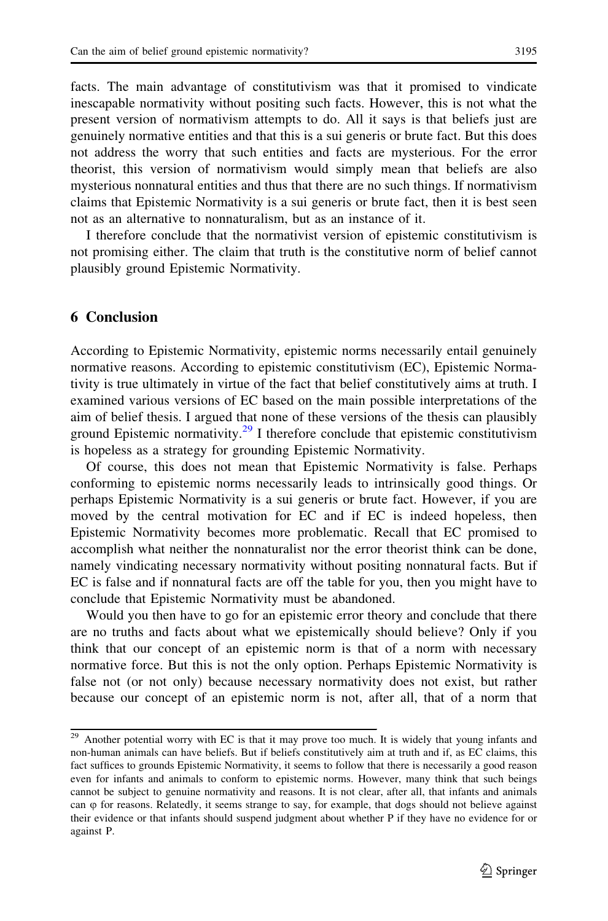<span id="page-14-0"></span>facts. The main advantage of constitutivism was that it promised to vindicate inescapable normativity without positing such facts. However, this is not what the present version of normativism attempts to do. All it says is that beliefs just are genuinely normative entities and that this is a sui generis or brute fact. But this does not address the worry that such entities and facts are mysterious. For the error theorist, this version of normativism would simply mean that beliefs are also mysterious nonnatural entities and thus that there are no such things. If normativism claims that Epistemic Normativity is a sui generis or brute fact, then it is best seen not as an alternative to nonnaturalism, but as an instance of it.

I therefore conclude that the normativist version of epistemic constitutivism is not promising either. The claim that truth is the constitutive norm of belief cannot plausibly ground Epistemic Normativity.

# 6 Conclusion

According to Epistemic Normativity, epistemic norms necessarily entail genuinely normative reasons. According to epistemic constitutivism (EC), Epistemic Normativity is true ultimately in virtue of the fact that belief constitutively aims at truth. I examined various versions of EC based on the main possible interpretations of the aim of belief thesis. I argued that none of these versions of the thesis can plausibly ground Epistemic normativity.<sup>29</sup> I therefore conclude that epistemic constitutivism is hopeless as a strategy for grounding Epistemic Normativity.

Of course, this does not mean that Epistemic Normativity is false. Perhaps conforming to epistemic norms necessarily leads to intrinsically good things. Or perhaps Epistemic Normativity is a sui generis or brute fact. However, if you are moved by the central motivation for EC and if EC is indeed hopeless, then Epistemic Normativity becomes more problematic. Recall that EC promised to accomplish what neither the nonnaturalist nor the error theorist think can be done, namely vindicating necessary normativity without positing nonnatural facts. But if EC is false and if nonnatural facts are off the table for you, then you might have to conclude that Epistemic Normativity must be abandoned.

Would you then have to go for an epistemic error theory and conclude that there are no truths and facts about what we epistemically should believe? Only if you think that our concept of an epistemic norm is that of a norm with necessary normative force. But this is not the only option. Perhaps Epistemic Normativity is false not (or not only) because necessary normativity does not exist, but rather because our concept of an epistemic norm is not, after all, that of a norm that

<sup>&</sup>lt;sup>29</sup> Another potential worry with EC is that it may prove too much. It is widely that young infants and non-human animals can have beliefs. But if beliefs constitutively aim at truth and if, as EC claims, this fact suffices to grounds Epistemic Normativity, it seems to follow that there is necessarily a good reason even for infants and animals to conform to epistemic norms. However, many think that such beings cannot be subject to genuine normativity and reasons. It is not clear, after all, that infants and animals can  $\varphi$  for reasons. Relatedly, it seems strange to say, for example, that dogs should not believe against their evidence or that infants should suspend judgment about whether P if they have no evidence for or against P.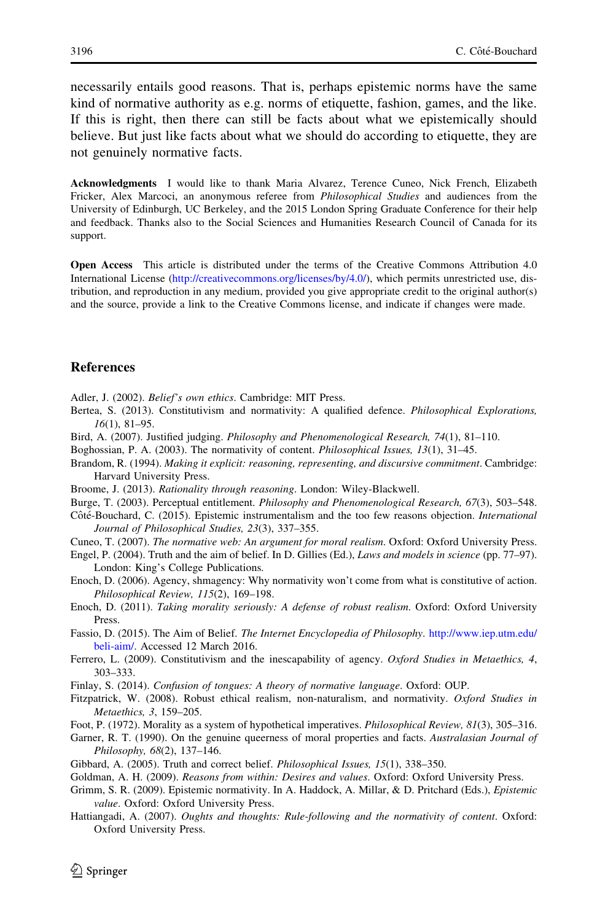<span id="page-15-0"></span>necessarily entails good reasons. That is, perhaps epistemic norms have the same kind of normative authority as e.g. norms of etiquette, fashion, games, and the like. If this is right, then there can still be facts about what we epistemically should believe. But just like facts about what we should do according to etiquette, they are not genuinely normative facts.

Acknowledgments I would like to thank Maria Alvarez, Terence Cuneo, Nick French, Elizabeth Fricker, Alex Marcoci, an anonymous referee from *Philosophical Studies* and audiences from the University of Edinburgh, UC Berkeley, and the 2015 London Spring Graduate Conference for their help and feedback. Thanks also to the Social Sciences and Humanities Research Council of Canada for its support.

Open Access This article is distributed under the terms of the Creative Commons Attribution 4.0 International License ([http://creativecommons.org/licenses/by/4.0/\)](http://creativecommons.org/licenses/by/4.0/), which permits unrestricted use, distribution, and reproduction in any medium, provided you give appropriate credit to the original author(s) and the source, provide a link to the Creative Commons license, and indicate if changes were made.

#### References

Adler, J. (2002). *Belief's own ethics*. Cambridge: MIT Press.

- Bertea, S. (2013). Constitutivism and normativity: A qualified defence. Philosophical Explorations, 16(1), 81–95.
- Bird, A. (2007). Justified judging. Philosophy and Phenomenological Research, 74(1), 81–110.
- Boghossian, P. A. (2003). The normativity of content. Philosophical Issues, 13(1), 31–45.
- Brandom, R. (1994). Making it explicit: reasoning, representing, and discursive commitment. Cambridge: Harvard University Press.
- Broome, J. (2013). Rationality through reasoning. London: Wiley-Blackwell.
- Burge, T. (2003). Perceptual entitlement. Philosophy and Phenomenological Research, 67(3), 503–548.
- Côté-Bouchard, C. (2015). Epistemic instrumentalism and the too few reasons objection. International Journal of Philosophical Studies, 23(3), 337–355.
- Cuneo, T. (2007). The normative web: An argument for moral realism. Oxford: Oxford University Press.
- Engel, P. (2004). Truth and the aim of belief. In D. Gillies (Ed.), Laws and models in science (pp. 77–97). London: King's College Publications.
- Enoch, D. (2006). Agency, shmagency: Why normativity won't come from what is constitutive of action. Philosophical Review, 115(2), 169–198.
- Enoch, D. (2011). Taking morality seriously: A defense of robust realism. Oxford: Oxford University Press.
- Fassio, D. (2015). The Aim of Belief. The Internet Encyclopedia of Philosophy. [http://www.iep.utm.edu/](http://www.iep.utm.edu/beli-aim/) [beli-aim/.](http://www.iep.utm.edu/beli-aim/) Accessed 12 March 2016.
- Ferrero, L. (2009). Constitutivism and the inescapability of agency. Oxford Studies in Metaethics, 4, 303–333.
- Finlay, S. (2014). Confusion of tongues: A theory of normative language. Oxford: OUP.
- Fitzpatrick, W. (2008). Robust ethical realism, non-naturalism, and normativity. Oxford Studies in Metaethics, 3, 159–205.
- Foot, P. (1972). Morality as a system of hypothetical imperatives. Philosophical Review, 81(3), 305–316.
- Garner, R. T. (1990). On the genuine queerness of moral properties and facts. Australasian Journal of Philosophy, 68(2), 137–146.
- Gibbard, A. (2005). Truth and correct belief. Philosophical Issues, 15(1), 338–350.
- Goldman, A. H. (2009). Reasons from within: Desires and values. Oxford: Oxford University Press.
- Grimm, S. R. (2009). Epistemic normativity. In A. Haddock, A. Millar, & D. Pritchard (Eds.), Epistemic value. Oxford: Oxford University Press.
- Hattiangadi, A. (2007). Oughts and thoughts: Rule-following and the normativity of content. Oxford: Oxford University Press.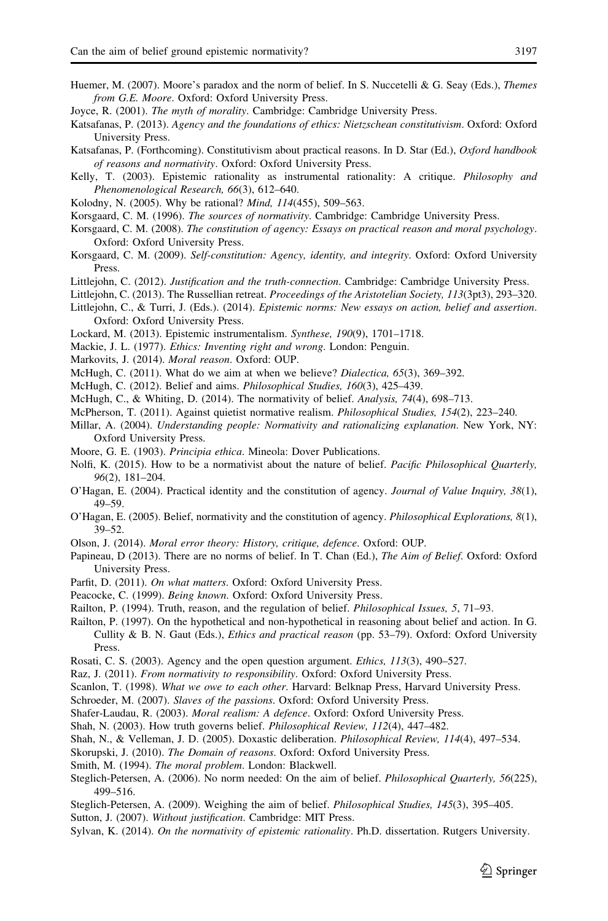- 
- <span id="page-16-0"></span>Huemer, M. (2007). Moore's paradox and the norm of belief. In S. Nuccetelli & G. Seay (Eds.), *Themes* from G.E. Moore. Oxford: Oxford University Press.
- Joyce, R. (2001). The myth of morality. Cambridge: Cambridge University Press.
- Katsafanas, P. (2013). Agency and the foundations of ethics: Nietzschean constitutivism. Oxford: Oxford University Press.
- Katsafanas, P. (Forthcoming). Constitutivism about practical reasons. In D. Star (Ed.), Oxford handbook of reasons and normativity. Oxford: Oxford University Press.
- Kelly, T. (2003). Epistemic rationality as instrumental rationality: A critique. Philosophy and Phenomenological Research, 66(3), 612–640.
- Kolodny, N. (2005). Why be rational? Mind, 114(455), 509–563.
- Korsgaard, C. M. (1996). The sources of normativity. Cambridge: Cambridge University Press.
- Korsgaard, C. M. (2008). The constitution of agency: Essays on practical reason and moral psychology. Oxford: Oxford University Press.
- Korsgaard, C. M. (2009). Self-constitution: Agency, identity, and integrity. Oxford: Oxford University Press.
- Littlejohn, C. (2012). Justification and the truth-connection. Cambridge: Cambridge University Press.
- Littlejohn, C. (2013). The Russellian retreat. *Proceedings of the Aristotelian Society*, 113(3pt3), 293–320.
- Littlejohn, C., & Turri, J. (Eds.). (2014). Epistemic norms: New essays on action, belief and assertion. Oxford: Oxford University Press.
- Lockard, M. (2013). Epistemic instrumentalism. Synthese, 190(9), 1701–1718.
- Mackie, J. L. (1977). Ethics: Inventing right and wrong. London: Penguin.
- Markovits, J. (2014). Moral reason. Oxford: OUP.
- McHugh, C. (2011). What do we aim at when we believe? Dialectica, 65(3), 369-392.
- McHugh, C. (2012). Belief and aims. Philosophical Studies, 160(3), 425–439.
- McHugh, C., & Whiting, D. (2014). The normativity of belief. Analysis, 74(4), 698–713.
- McPherson, T. (2011). Against quietist normative realism. Philosophical Studies, 154(2), 223–240.
- Millar, A. (2004). Understanding people: Normativity and rationalizing explanation. New York, NY: Oxford University Press.
- Moore, G. E. (1903). Principia ethica. Mineola: Dover Publications.
- Nolfi, K. (2015). How to be a normativist about the nature of belief. Pacific Philosophical Quarterly, 96(2), 181–204.
- O'Hagan, E. (2004). Practical identity and the constitution of agency. Journal of Value Inquiry, 38(1), 49–59.
- O'Hagan, E. (2005). Belief, normativity and the constitution of agency. Philosophical Explorations, 8(1), 39–52.
- Olson, J. (2014). Moral error theory: History, critique, defence. Oxford: OUP.
- Papineau, D (2013). There are no norms of belief. In T. Chan (Ed.), *The Aim of Belief*. Oxford: Oxford University Press.
- Parfit, D. (2011). On what matters. Oxford: Oxford University Press.
- Peacocke, C. (1999). Being known. Oxford: Oxford University Press.
- Railton, P. (1994). Truth, reason, and the regulation of belief. Philosophical Issues, 5, 71–93.
- Railton, P. (1997). On the hypothetical and non-hypothetical in reasoning about belief and action. In G. Cullity & B. N. Gaut (Eds.), Ethics and practical reason (pp. 53–79). Oxford: Oxford University Press.
- Rosati, C. S. (2003). Agency and the open question argument. Ethics, 113(3), 490–527.
- Raz, J. (2011). From normativity to responsibility. Oxford: Oxford University Press.
- Scanlon, T. (1998). What we owe to each other. Harvard: Belknap Press, Harvard University Press.
- Schroeder, M. (2007). Slaves of the passions. Oxford: Oxford University Press.
- Shafer-Laudau, R. (2003). Moral realism: A defence. Oxford: Oxford University Press.
- Shah, N. (2003). How truth governs belief. Philosophical Review, 112(4), 447–482.
- Shah, N., & Velleman, J. D. (2005). Doxastic deliberation. Philosophical Review, 114(4), 497–534.
- Skorupski, J. (2010). The Domain of reasons. Oxford: Oxford University Press.
- Smith, M. (1994). The moral problem. London: Blackwell.
- Steglich-Petersen, A. (2006). No norm needed: On the aim of belief. *Philosophical Quarterly, 56(225)*, 499–516.
- Steglich-Petersen, A. (2009). Weighing the aim of belief. Philosophical Studies, 145(3), 395–405.
- Sutton, J. (2007). Without justification. Cambridge: MIT Press.
- Sylvan, K. (2014). On the normativity of epistemic rationality. Ph.D. dissertation. Rutgers University.